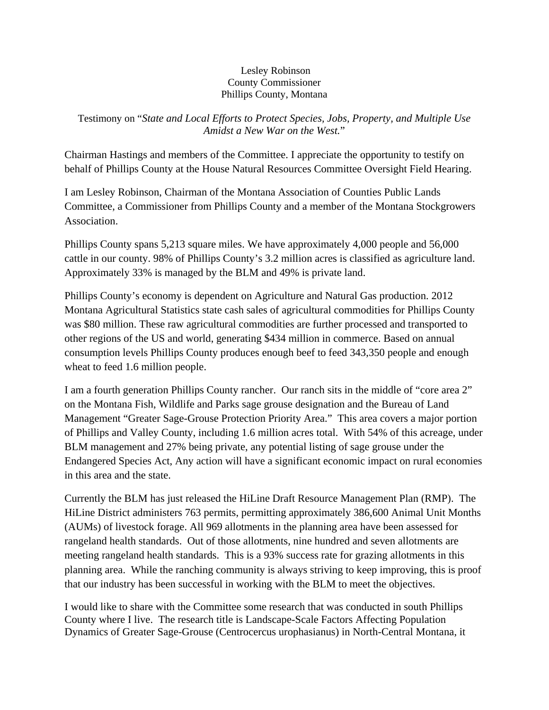## Lesley Robinson County Commissioner Phillips County, Montana

Testimony on "*State and Local Efforts to Protect Species, Jobs, Property, and Multiple Use Amidst a New War on the West.*"

Chairman Hastings and members of the Committee. I appreciate the opportunity to testify on behalf of Phillips County at the House Natural Resources Committee Oversight Field Hearing.

I am Lesley Robinson, Chairman of the Montana Association of Counties Public Lands Committee, a Commissioner from Phillips County and a member of the Montana Stockgrowers Association.

Phillips County spans 5,213 square miles. We have approximately 4,000 people and 56,000 cattle in our county. 98% of Phillips County's 3.2 million acres is classified as agriculture land. Approximately 33% is managed by the BLM and 49% is private land.

Phillips County's economy is dependent on Agriculture and Natural Gas production. 2012 Montana Agricultural Statistics state cash sales of agricultural commodities for Phillips County was \$80 million. These raw agricultural commodities are further processed and transported to other regions of the US and world, generating \$434 million in commerce. Based on annual consumption levels Phillips County produces enough beef to feed 343,350 people and enough wheat to feed 1.6 million people.

I am a fourth generation Phillips County rancher. Our ranch sits in the middle of "core area 2" on the Montana Fish, Wildlife and Parks sage grouse designation and the Bureau of Land Management "Greater Sage-Grouse Protection Priority Area." This area covers a major portion of Phillips and Valley County, including 1.6 million acres total. With 54% of this acreage, under BLM management and 27% being private, any potential listing of sage grouse under the Endangered Species Act, Any action will have a significant economic impact on rural economies in this area and the state.

Currently the BLM has just released the HiLine Draft Resource Management Plan (RMP). The HiLine District administers 763 permits, permitting approximately 386,600 Animal Unit Months (AUMs) of livestock forage. All 969 allotments in the planning area have been assessed for rangeland health standards. Out of those allotments, nine hundred and seven allotments are meeting rangeland health standards. This is a 93% success rate for grazing allotments in this planning area. While the ranching community is always striving to keep improving, this is proof that our industry has been successful in working with the BLM to meet the objectives.

I would like to share with the Committee some research that was conducted in south Phillips County where I live. The research title is Landscape-Scale Factors Affecting Population Dynamics of Greater Sage-Grouse (Centrocercus urophasianus) in North-Central Montana, it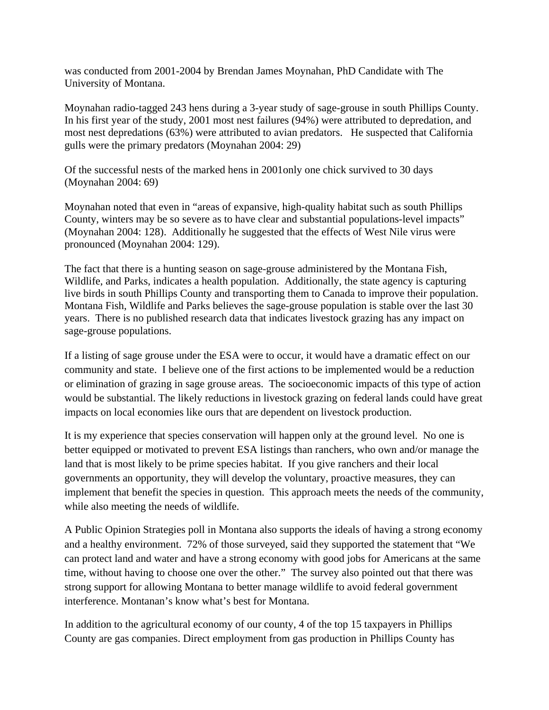was conducted from 2001-2004 by Brendan James Moynahan, PhD Candidate with The University of Montana.

Moynahan radio-tagged 243 hens during a 3-year study of sage-grouse in south Phillips County. In his first year of the study, 2001 most nest failures (94%) were attributed to depredation, and most nest depredations (63%) were attributed to avian predators. He suspected that California gulls were the primary predators (Moynahan 2004: 29)

Of the successful nests of the marked hens in 2001only one chick survived to 30 days (Moynahan 2004: 69)

Moynahan noted that even in "areas of expansive, high-quality habitat such as south Phillips County, winters may be so severe as to have clear and substantial populations-level impacts" (Moynahan 2004: 128). Additionally he suggested that the effects of West Nile virus were pronounced (Moynahan 2004: 129).

The fact that there is a hunting season on sage-grouse administered by the Montana Fish, Wildlife, and Parks, indicates a health population. Additionally, the state agency is capturing live birds in south Phillips County and transporting them to Canada to improve their population. Montana Fish, Wildlife and Parks believes the sage-grouse population is stable over the last 30 years. There is no published research data that indicates livestock grazing has any impact on sage-grouse populations.

If a listing of sage grouse under the ESA were to occur, it would have a dramatic effect on our community and state. I believe one of the first actions to be implemented would be a reduction or elimination of grazing in sage grouse areas. The socioeconomic impacts of this type of action would be substantial. The likely reductions in livestock grazing on federal lands could have great impacts on local economies like ours that are dependent on livestock production.

It is my experience that species conservation will happen only at the ground level. No one is better equipped or motivated to prevent ESA listings than ranchers, who own and/or manage the land that is most likely to be prime species habitat. If you give ranchers and their local governments an opportunity, they will develop the voluntary, proactive measures, they can implement that benefit the species in question. This approach meets the needs of the community, while also meeting the needs of wildlife.

A Public Opinion Strategies poll in Montana also supports the ideals of having a strong economy and a healthy environment. 72% of those surveyed, said they supported the statement that "We can protect land and water and have a strong economy with good jobs for Americans at the same time, without having to choose one over the other." The survey also pointed out that there was strong support for allowing Montana to better manage wildlife to avoid federal government interference. Montanan's know what's best for Montana.

In addition to the agricultural economy of our county, 4 of the top 15 taxpayers in Phillips County are gas companies. Direct employment from gas production in Phillips County has